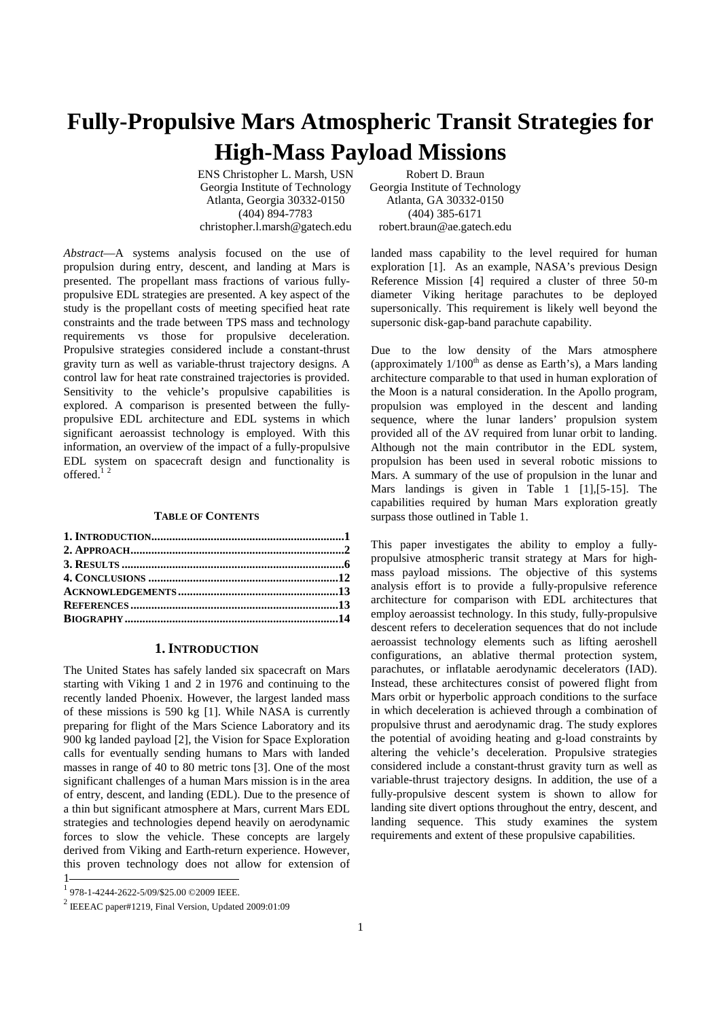# **Fully-Propulsive Mars Atmospheric Transit Strategies for High-Mass Payload Missions**

ENS Christopher L. Marsh, USN Robert D. Braun Georgia Institute of Technology Georgia Institute of Technology Atlanta, Georgia 30332-0150 Atlanta, GA 30332-0150 (404) 894-7783 (404) 385-6171

christopher.l.marsh@gatech.edu robert.braun@ae.gatech.edu

*Abstract*—A systems analysis focused on the use of propulsion during entry, descent, and landing at Mars is presented. The propellant mass fractions of various fullypropulsive EDL strategies are presented. A key aspect of the study is the propellant costs of meeting specified heat rate constraints and the trade between TPS mass and technology requirements vs those for propulsive deceleration. Propulsive strategies considered include a constant-thrust gravity turn as well as variable-thrust trajectory designs. A control law for heat rate constrained trajectories is provided. Sensitivity to the vehicle's propulsive capabilities is explored. A comparison is presented between the fullypropulsive EDL architecture and EDL systems in which significant aeroassist technology is employed. With this information, an overview of the impact of a fully-propulsive EDL system on spacecraft design and functionality is offered.<sup>12</sup>

## **TABLE OF CONTENTS**

## **1.INTRODUCTION**

The United States has safely landed six spacecraft on Mars starting with Viking 1 and 2 in 1976 and continuing to the recently landed Phoenix. However, the largest landed mass of these missions is 590 kg [1]. While NASA is currently preparing for flight of the Mars Science Laboratory and its 900 kg landed payload [2], the Vision for Space Exploration calls for eventually sending humans to Mars with landed masses in range of 40 to 80 metric tons [3]. One of the most significant challenges of a human Mars mission is in the area of entry, descent, and landing (EDL). Due to the presence of a thin but significant atmosphere at Mars, current Mars EDL strategies and technologies depend heavily on aerodynamic forces to slow the vehicle. These concepts are largely derived from Viking and Earth-return experience. However, this proven technology does not allow for extension of 1

landed mass capability to the level required for human exploration [1]. As an example, NASA's previous Design Reference Mission [4] required a cluster of three 50-m diameter Viking heritage parachutes to be deployed supersonically. This requirement is likely well beyond the supersonic disk-gap-band parachute capability.

Due to the low density of the Mars atmosphere (approximately  $1/100<sup>th</sup>$  as dense as Earth's), a Mars landing architecture comparable to that used in human exploration of the Moon is a natural consideration. In the Apollo program, propulsion was employed in the descent and landing sequence, where the lunar landers' propulsion system provided all of the ∆V required from lunar orbit to landing. Although not the main contributor in the EDL system, propulsion has been used in several robotic missions to Mars. A summary of the use of propulsion in the lunar and Mars landings is given in Table 1 [1], [5-15]. The capabilities required by human Mars exploration greatly surpass those outlined in Table 1.

This paper investigates the ability to employ a fullypropulsive atmospheric transit strategy at Mars for highmass payload missions. The objective of this systems analysis effort is to provide a fully-propulsive reference architecture for comparison with EDL architectures that employ aeroassist technology. In this study, fully-propulsive descent refers to deceleration sequences that do not include aeroassist technology elements such as lifting aeroshell configurations, an ablative thermal protection system, parachutes, or inflatable aerodynamic decelerators (IAD). Instead, these architectures consist of powered flight from Mars orbit or hyperbolic approach conditions to the surface in which deceleration is achieved through a combination of propulsive thrust and aerodynamic drag. The study explores the potential of avoiding heating and g-load constraints by altering the vehicle's deceleration. Propulsive strategies considered include a constant-thrust gravity turn as well as variable-thrust trajectory designs. In addition, the use of a fully-propulsive descent system is shown to allow for landing site divert options throughout the entry, descent, and landing sequence. This study examines the system requirements and extent of these propulsive capabilities.

<sup>1</sup> 978-1-4244-2622-5/09/\$25.00 ©2009 IEEE.

 $2$  IEEEAC paper#1219, Final Version, Updated 2009:01:09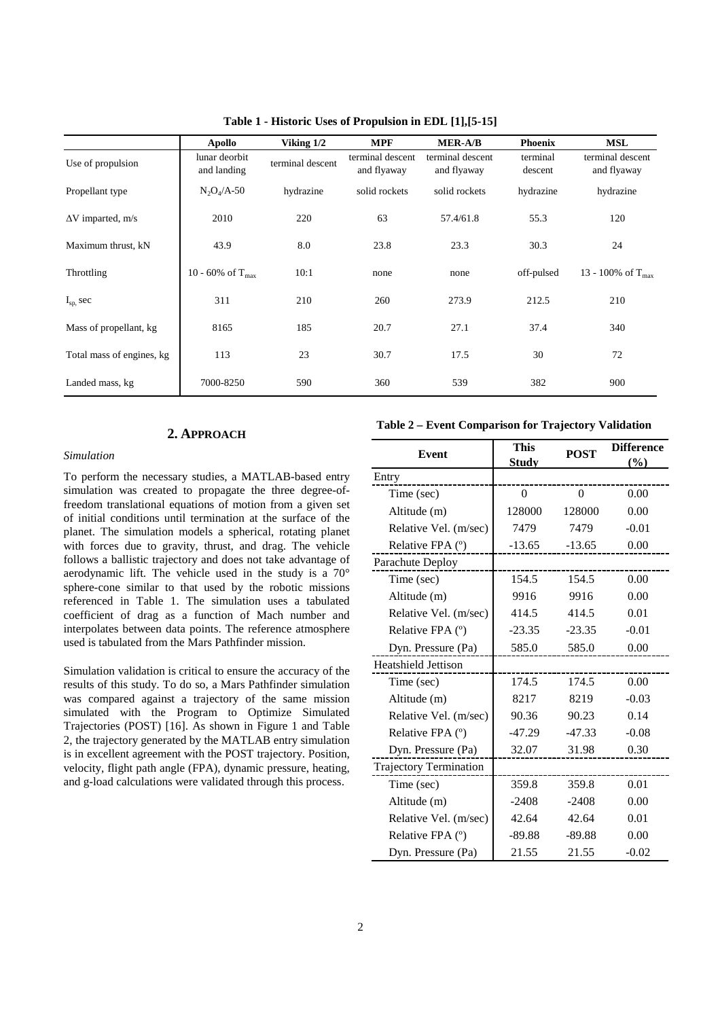|                           | Apollo                       | Viking 1/2       | <b>MPF</b>                      | <b>MER-A/B</b>                  | <b>Phoenix</b>      | <b>MSL</b>                      |
|---------------------------|------------------------------|------------------|---------------------------------|---------------------------------|---------------------|---------------------------------|
| Use of propulsion         | lunar deorbit<br>and landing | terminal descent | terminal descent<br>and flyaway | terminal descent<br>and flyaway | terminal<br>descent | terminal descent<br>and flyaway |
| Propellant type           | $N_2O_4/A-50$                | hydrazine        | solid rockets                   | solid rockets                   | hydrazine           | hydrazine                       |
| $\Delta V$ imparted, m/s  | 2010                         | 220              | 63                              | 57.4/61.8                       | 55.3                | 120                             |
| Maximum thrust, kN        | 43.9                         | 8.0              | 23.8                            | 23.3                            | 30.3                | 24                              |
| Throttling                | 10 - 60% of $T_{max}$        | 10:1             | none                            | none                            | off-pulsed          | 13 - 100% of $T_{\text{max}}$   |
| $I_{sp,}$ sec             | 311                          | 210              | 260                             | 273.9                           | 212.5               | 210                             |
| Mass of propellant, kg    | 8165                         | 185              | 20.7                            | 27.1                            | 37.4                | 340                             |
| Total mass of engines, kg | 113                          | 23               | 30.7                            | 17.5                            | 30                  | 72                              |
| Landed mass, kg           | 7000-8250                    | 590              | 360                             | 539                             | 382                 | 900                             |

**Table 1 - Historic Uses of Propulsion in EDL [1],[5-15]** 

# **2. APPROACH**

# *Simulation*

To perform the necessary studies, a MATLAB-based entry simulation was created to propagate the three degree-offreedom translational equations of motion from a given set of initial conditions until termination at the surface of the planet. The simulation models a spherical, rotating planet with forces due to gravity, thrust, and drag. The vehicle follows a ballistic trajectory and does not take advantage of aerodynamic lift. The vehicle used in the study is a 70° sphere-cone similar to that used by the robotic missions referenced in Table 1. The simulation uses a tabulated coefficient of drag as a function of Mach number and interpolates between data points. The reference atmosphere used is tabulated from the Mars Pathfinder mission.

Simulation validation is critical to ensure the accuracy of the results of this study. To do so, a Mars Pathfinder simulation was compared against a trajectory of the same mission simulated with the Program to Optimize Simulated Trajectories (POST) [16]. As shown in Figure 1 and Table 2, the trajectory generated by the MATLAB entry simulation is in excellent agreement with the POST trajectory. Position, velocity, flight path angle (FPA), dynamic pressure, heating, and g-load calculations were validated through this process.

**Table 2 – Event Comparison for Trajectory Validation** 

| Event                      | <b>This</b><br><b>Study</b> | <b>POST</b> | <b>Difference</b><br>(%) |
|----------------------------|-----------------------------|-------------|--------------------------|
| Entry                      |                             |             |                          |
| Time (sec)                 | 0                           | $\Omega$    | 0.00                     |
| Altitude (m)               | 128000                      | 128000      | 0.00                     |
| Relative Vel. (m/sec)      | 7479                        | 7479        | $-0.01$                  |
| Relative FPA $(°)$         | $-13.65$                    | $-13.65$    | 0.00                     |
| Parachute Deploy           |                             |             |                          |
| Time (sec)                 | 154.5                       | 154.5       | 0.00                     |
| Altitude (m)               | 9916                        | 9916        | 0.00                     |
| Relative Vel. (m/sec)      | 414.5                       | 414.5       | 0.01                     |
| Relative FPA (°)           | $-23.35$                    | $-23.35$    | $-0.01$                  |
| Dyn. Pressure (Pa)         | 585.0                       | 585.0       | 0.00                     |
| <b>Heatshield Jettison</b> |                             |             |                          |
| Time (sec)                 | 174.5                       | 174.5       | 0.00                     |
| Altitude (m)               | 8217                        | 8219        | $-0.03$                  |
| Relative Vel. (m/sec)      | 90.36                       | 90.23       | 0.14                     |
| Relative FPA (°)           | -47.29                      | $-47.33$    | $-0.08$                  |
| Dyn. Pressure (Pa)         | 32.07                       | 31.98       | 0.30                     |
| Trajectory Termination     |                             |             |                          |
| Time (sec)                 | 359.8                       | 359.8       | 0.01                     |
| Altitude (m)               | $-2408$                     | $-2408$     | 0.00                     |
| Relative Vel. (m/sec)      | 42.64                       | 42.64       | 0.01                     |
| Relative FPA (°)           | $-89.88$                    | $-89.88$    | 0.00                     |
| Dyn. Pressure (Pa)         | 21.55                       | 21.55       | $-0.02$                  |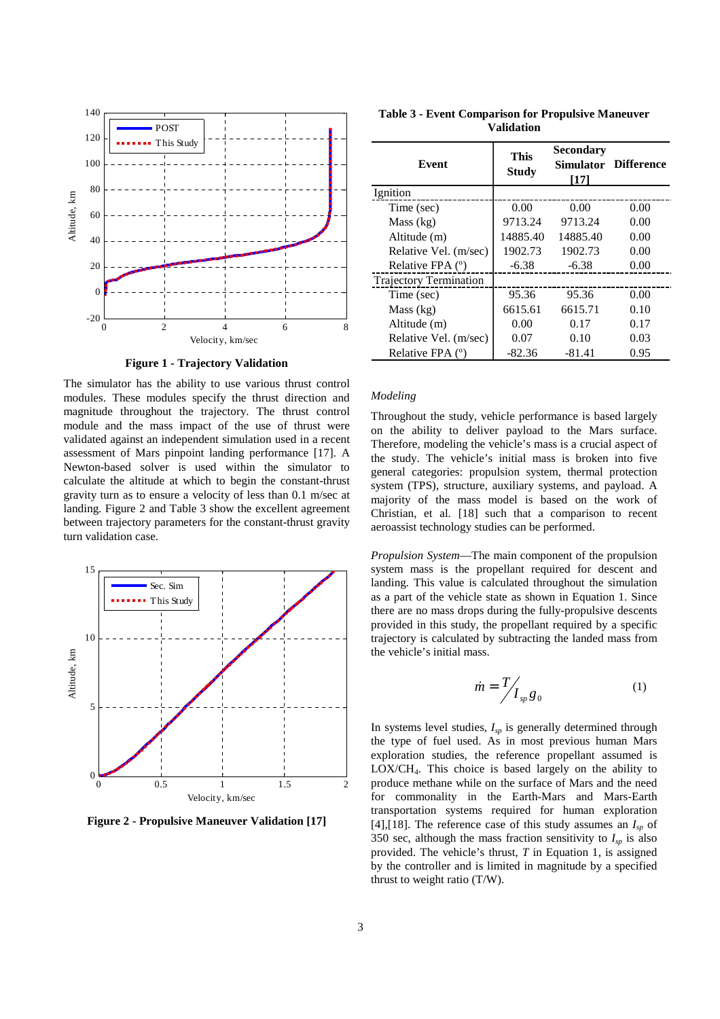

**Figure 1 - Trajectory Validation** 

The simulator has the ability to use various thrust control modules. These modules specify the thrust direction and magnitude throughout the trajectory. The thrust control module and the mass impact of the use of thrust were validated against an independent simulation used in a recent assessment of Mars pinpoint landing performance [17]. A Newton-based solver is used within the simulator to calculate the altitude at which to begin the constant-thrust gravity turn as to ensure a velocity of less than 0.1 m/sec at landing. Figure 2 and Table 3 show the excellent agreement between trajectory parameters for the constant-thrust gravity turn validation case.



**Figure 2 - Propulsive Maneuver Validation [17]** 

| <b>Table 3 - Event Comparison for Propulsive Maneuver</b> |
|-----------------------------------------------------------|
| <b>Validation</b>                                         |

| <b>Event</b>                  | <b>This</b>  | Secondary | <b>Simulator Difference</b> |
|-------------------------------|--------------|-----------|-----------------------------|
|                               | <b>Study</b> | [17]      |                             |
| Ignition                      |              |           |                             |
| Time (sec)                    | 0.00         | 0.00      | 0.00                        |
| Mass (kg)                     | 9713.24      | 9713.24   | 0.00                        |
| Altitude (m)                  | 14885.40     | 14885.40  | 0.00                        |
| Relative Vel. (m/sec)         | 1902.73      | 1902.73   | 0.00                        |
| Relative FPA (°)              | $-6.38$      | $-6.38$   | 0.00                        |
| <b>Trajectory Termination</b> |              |           |                             |
| Time (sec)                    | 95.36        | 95.36     | 0.00                        |
| Mass (kg)                     | 6615.61      | 6615.71   | 0.10                        |
| Altitude (m)                  | 0.00         | 0.17      | 0.17                        |
| Relative Vel. (m/sec)         | 0.07         | 0.10      | 0.03                        |
| Relative FPA (°)              | $-82.36$     | $-81.41$  | 0.95                        |

#### *Modeling*

Throughout the study, vehicle performance is based largely on the ability to deliver payload to the Mars surface. Therefore, modeling the vehicle's mass is a crucial aspect of the study. The vehicle's initial mass is broken into five general categories: propulsion system, thermal protection system (TPS), structure, auxiliary systems, and payload. A majority of the mass model is based on the work of Christian, et al. [18] such that a comparison to recent aeroassist technology studies can be performed.

*Propulsion System*—The main component of the propulsion system mass is the propellant required for descent and landing. This value is calculated throughout the simulation as a part of the vehicle state as shown in Equation 1. Since there are no mass drops during the fully-propulsive descents provided in this study, the propellant required by a specific trajectory is calculated by subtracting the landed mass from the vehicle's initial mass.

$$
\dot{m} = \frac{T}{I_{sp}g_0} \tag{1}
$$

In systems level studies, *Isp* is generally determined through the type of fuel used. As in most previous human Mars exploration studies, the reference propellant assumed is LOX/CH4. This choice is based largely on the ability to produce methane while on the surface of Mars and the need for commonality in the Earth-Mars and Mars-Earth transportation systems required for human exploration [4],[18]. The reference case of this study assumes an  $I_{sn}$  of 350 sec, although the mass fraction sensitivity to  $I_{sp}$  is also provided. The vehicle's thrust, *T* in Equation 1, is assigned by the controller and is limited in magnitude by a specified thrust to weight ratio (T/W).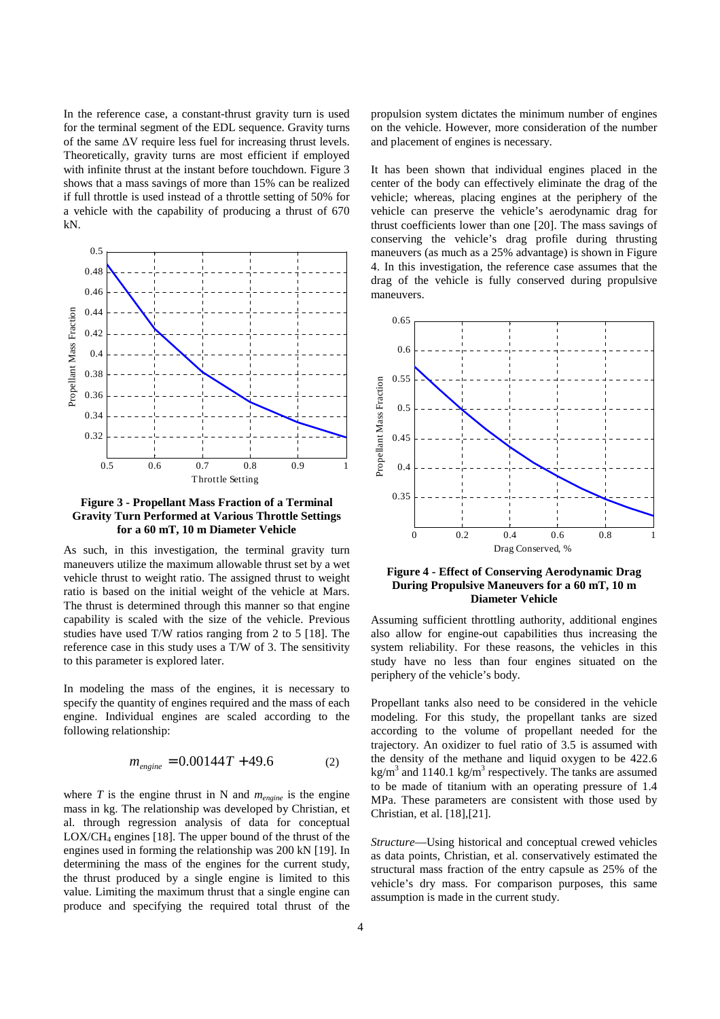In the reference case, a constant-thrust gravity turn is used for the terminal segment of the EDL sequence. Gravity turns of the same ∆V require less fuel for increasing thrust levels. Theoretically, gravity turns are most efficient if employed with infinite thrust at the instant before touchdown. Figure 3 shows that a mass savings of more than 15% can be realized if full throttle is used instead of a throttle setting of 50% for a vehicle with the capability of producing a thrust of 670 kN.



**Figure 3 - Propellant Mass Fraction of a Terminal Gravity Turn Performed at Various Throttle Settings for a 60 mT, 10 m Diameter Vehicle** 

As such, in this investigation, the terminal gravity turn maneuvers utilize the maximum allowable thrust set by a wet vehicle thrust to weight ratio. The assigned thrust to weight ratio is based on the initial weight of the vehicle at Mars. The thrust is determined through this manner so that engine capability is scaled with the size of the vehicle. Previous studies have used T/W ratios ranging from 2 to 5 [18]. The reference case in this study uses a T/W of 3. The sensitivity to this parameter is explored later.

In modeling the mass of the engines, it is necessary to specify the quantity of engines required and the mass of each engine. Individual engines are scaled according to the following relationship:

$$
m_{\text{engine}} = 0.00144T + 49.6\tag{2}
$$

where *T* is the engine thrust in N and *mengine* is the engine mass in kg. The relationship was developed by Christian, et al. through regression analysis of data for conceptual  $LOX/CH<sub>4</sub>$  engines [18]. The upper bound of the thrust of the engines used in forming the relationship was 200 kN [19]. In determining the mass of the engines for the current study, the thrust produced by a single engine is limited to this value. Limiting the maximum thrust that a single engine can produce and specifying the required total thrust of the

propulsion system dictates the minimum number of engines on the vehicle. However, more consideration of the number and placement of engines is necessary.

It has been shown that individual engines placed in the center of the body can effectively eliminate the drag of the vehicle; whereas, placing engines at the periphery of the vehicle can preserve the vehicle's aerodynamic drag for thrust coefficients lower than one [20]. The mass savings of conserving the vehicle's drag profile during thrusting maneuvers (as much as a 25% advantage) is shown in Figure 4. In this investigation, the reference case assumes that the drag of the vehicle is fully conserved during propulsive maneuvers.



**Figure 4 - Effect of Conserving Aerodynamic Drag During Propulsive Maneuvers for a 60 mT, 10 m Diameter Vehicle** 

Assuming sufficient throttling authority, additional engines also allow for engine-out capabilities thus increasing the system reliability. For these reasons, the vehicles in this study have no less than four engines situated on the periphery of the vehicle's body.

Propellant tanks also need to be considered in the vehicle modeling. For this study, the propellant tanks are sized according to the volume of propellant needed for the trajectory. An oxidizer to fuel ratio of 3.5 is assumed with the density of the methane and liquid oxygen to be 422.6 kg/m<sup>3</sup> and 1140.1 kg/m<sup>3</sup> respectively. The tanks are assumed to be made of titanium with an operating pressure of 1.4 MPa. These parameters are consistent with those used by Christian, et al. [18],[21].

*Structure*—Using historical and conceptual crewed vehicles as data points, Christian, et al. conservatively estimated the structural mass fraction of the entry capsule as 25% of the vehicle's dry mass. For comparison purposes, this same assumption is made in the current study.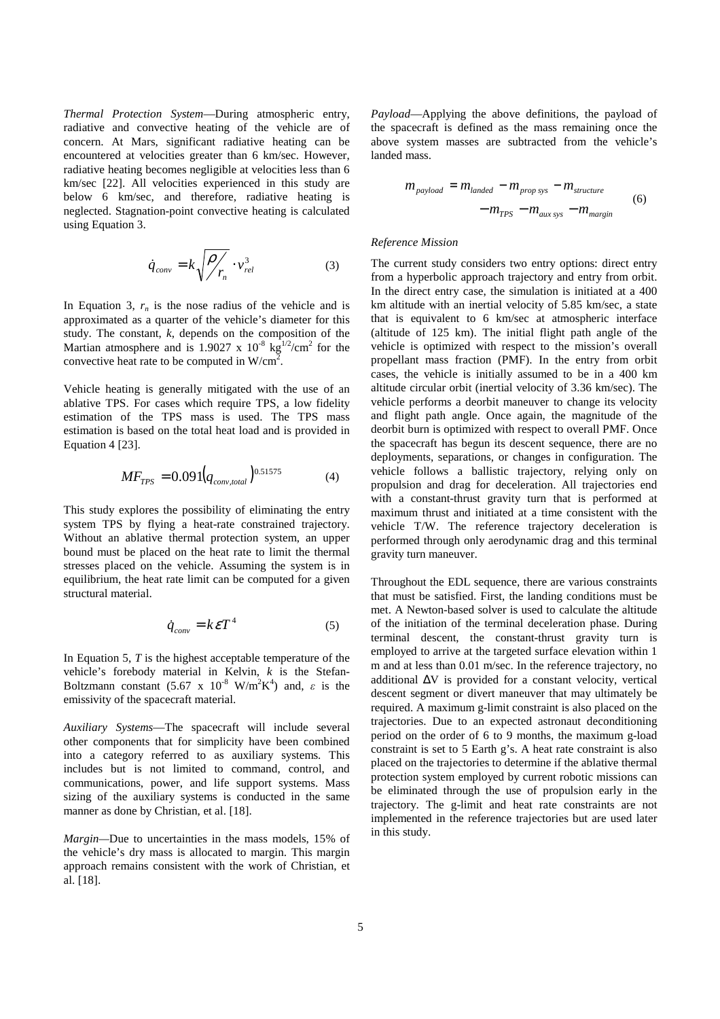*Thermal Protection System*—During atmospheric entry, radiative and convective heating of the vehicle are of concern. At Mars, significant radiative heating can be encountered at velocities greater than 6 km/sec. However, radiative heating becomes negligible at velocities less than 6 km/sec [22]. All velocities experienced in this study are below 6 km/sec, and therefore, radiative heating is neglected. Stagnation-point convective heating is calculated using Equation 3.

$$
\dot{q}_{conv} = k \sqrt{\frac{\rho}{r_n}} \cdot v_{rel}^3 \tag{3}
$$

In Equation 3,  $r_n$  is the nose radius of the vehicle and is approximated as a quarter of the vehicle's diameter for this study. The constant, *k*, depends on the composition of the Martian atmosphere and is 1.9027 x  $10^{-8}$  kg<sup>1/2</sup>/cm<sup>2</sup> for the convective heat rate to be computed in  $W/cm^2$ .

Vehicle heating is generally mitigated with the use of an ablative TPS. For cases which require TPS, a low fidelity estimation of the TPS mass is used. The TPS mass estimation is based on the total heat load and is provided in Equation 4 [23].

$$
MF_{TPS} = 0.091 (q_{conv,total})^{0.51575}
$$
 (4)

This study explores the possibility of eliminating the entry system TPS by flying a heat-rate constrained trajectory. Without an ablative thermal protection system, an upper bound must be placed on the heat rate to limit the thermal stresses placed on the vehicle. Assuming the system is in equilibrium, the heat rate limit can be computed for a given structural material.

$$
\dot{q}_{conv} = k\epsilon T^4 \tag{5}
$$

In Equation 5, *T* is the highest acceptable temperature of the vehicle's forebody material in Kelvin, *k* is the Stefan-Boltzmann constant  $(5.67 \times 10^{-8} \text{ W/m}^2 \text{K}^4)$  and,  $\varepsilon$  is the emissivity of the spacecraft material.

*Auxiliary Systems*—The spacecraft will include several other components that for simplicity have been combined into a category referred to as auxiliary systems. This includes but is not limited to command, control, and communications, power, and life support systems. Mass sizing of the auxiliary systems is conducted in the same manner as done by Christian, et al. [18].

*Margin—*Due to uncertainties in the mass models, 15% of the vehicle's dry mass is allocated to margin. This margin approach remains consistent with the work of Christian, et al. [18].

*Payload*—Applying the above definitions, the payload of the spacecraft is defined as the mass remaining once the above system masses are subtracted from the vehicle's landed mass.

$$
m_{\text{payload}} = m_{\text{landed}} - m_{\text{prop sys}} - m_{\text{structure}} - m_{\text{TPS}} - m_{\text{aux sys}} - m_{\text{margin}} \tag{6}
$$

## *Reference Mission*

The current study considers two entry options: direct entry from a hyperbolic approach trajectory and entry from orbit. In the direct entry case, the simulation is initiated at a 400 km altitude with an inertial velocity of 5.85 km/sec, a state that is equivalent to 6 km/sec at atmospheric interface (altitude of 125 km). The initial flight path angle of the vehicle is optimized with respect to the mission's overall propellant mass fraction (PMF). In the entry from orbit cases, the vehicle is initially assumed to be in a 400 km altitude circular orbit (inertial velocity of 3.36 km/sec). The vehicle performs a deorbit maneuver to change its velocity and flight path angle. Once again, the magnitude of the deorbit burn is optimized with respect to overall PMF. Once the spacecraft has begun its descent sequence, there are no deployments, separations, or changes in configuration. The vehicle follows a ballistic trajectory, relying only on propulsion and drag for deceleration. All trajectories end with a constant-thrust gravity turn that is performed at maximum thrust and initiated at a time consistent with the vehicle T/W. The reference trajectory deceleration is performed through only aerodynamic drag and this terminal gravity turn maneuver.

Throughout the EDL sequence, there are various constraints that must be satisfied. First, the landing conditions must be met. A Newton-based solver is used to calculate the altitude of the initiation of the terminal deceleration phase. During terminal descent, the constant-thrust gravity turn is employed to arrive at the targeted surface elevation within 1 m and at less than 0.01 m/sec. In the reference trajectory, no additional ∆V is provided for a constant velocity, vertical descent segment or divert maneuver that may ultimately be required. A maximum g-limit constraint is also placed on the trajectories. Due to an expected astronaut deconditioning period on the order of 6 to 9 months, the maximum g-load constraint is set to 5 Earth g's. A heat rate constraint is also placed on the trajectories to determine if the ablative thermal protection system employed by current robotic missions can be eliminated through the use of propulsion early in the trajectory. The g-limit and heat rate constraints are not implemented in the reference trajectories but are used later in this study.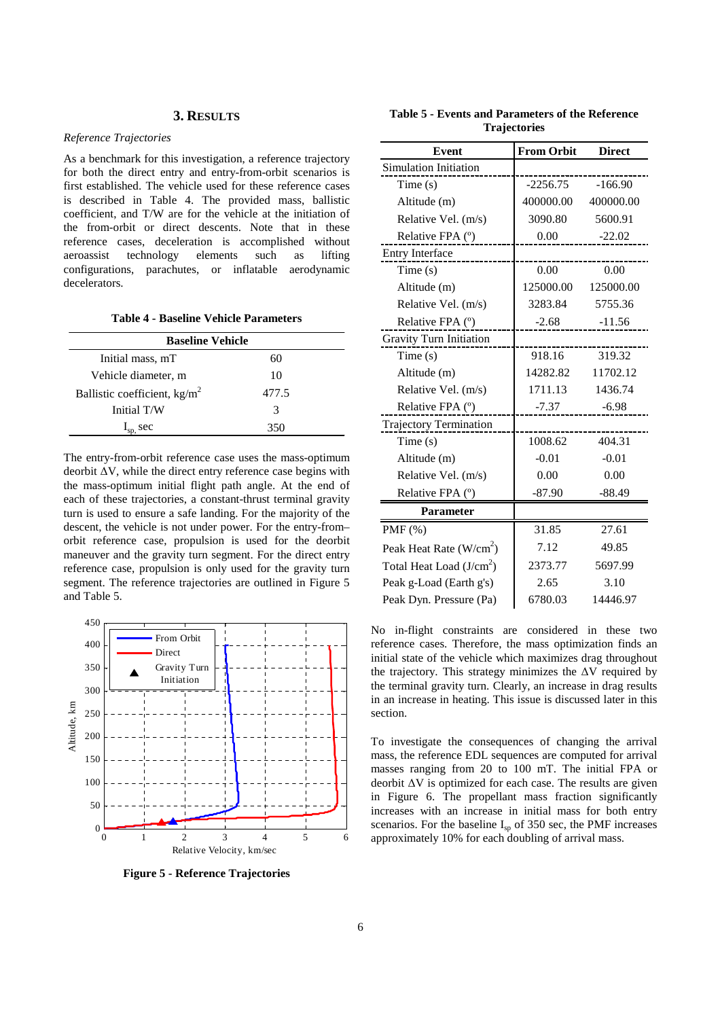# **3. RESULTS**

## *Reference Trajectories*

As a benchmark for this investigation, a reference trajectory for both the direct entry and entry-from-orbit scenarios is first established. The vehicle used for these reference cases is described in Table 4. The provided mass, ballistic coefficient, and T/W are for the vehicle at the initiation of the from-orbit or direct descents. Note that in these reference cases, deceleration is accomplished without aeroassist technology elements such as lifting configurations, parachutes, or inflatable aerodynamic decelerators.

**Table 4 - Baseline Vehicle Parameters** 

| <b>Baseline Vehicle</b>        |       |  |  |  |
|--------------------------------|-------|--|--|--|
| Initial mass, mT               | 60    |  |  |  |
| Vehicle diameter, m            | 10    |  |  |  |
| Ballistic coefficient, $kg/m2$ | 477.5 |  |  |  |
| Initial T/W                    | 3     |  |  |  |
| $I_{sp}$ , sec                 | 350   |  |  |  |

The entry-from-orbit reference case uses the mass-optimum deorbit ∆V, while the direct entry reference case begins with the mass-optimum initial flight path angle. At the end of each of these trajectories, a constant-thrust terminal gravity turn is used to ensure a safe landing. For the majority of the descent, the vehicle is not under power. For the entry-from– orbit reference case, propulsion is used for the deorbit maneuver and the gravity turn segment. For the direct entry reference case, propulsion is only used for the gravity turn segment. The reference trajectories are outlined in Figure 5 and Table 5.

![](_page_5_Figure_6.jpeg)

**Figure 5 - Reference Trajectories** 

|  | Table 5 - Events and Parameters of the Reference |  |  |
|--|--------------------------------------------------|--|--|
|  | <b>Trajectories</b>                              |  |  |

| <b>Event</b>                  | <b>From Orbit</b> | <b>Direct</b> |
|-------------------------------|-------------------|---------------|
| Simulation Initiation         |                   |               |
| Time(s)                       | $-2256.75$        | $-166.90$     |
| Altitude (m)                  | 400000.00         | 400000.00     |
| Relative Vel. (m/s)           | 3090.80           | 5600.91       |
| Relative FPA (°)              | 0.00              | $-22.02$      |
| Entry Interface               |                   |               |
| Time(s)                       | 0.00              | 0.00          |
| Altitude (m)                  | 125000.00         | 125000.00     |
| Relative Vel. (m/s)           | 3283.84           | 5755.36       |
| Relative FPA $(°)$            | $-2.68$           | $-11.56$      |
| Gravity Turn Initiation       |                   |               |
| Time(s)                       | 918.16            | 319.32        |
| Altitude (m)                  | 14282.82          | 11702.12      |
| Relative Vel. (m/s)           | 1711.13           | 1436.74       |
| Relative FPA (°)              | -7.37             | $-6.98$       |
| <b>Trajectory Termination</b> |                   |               |
| Time(s)                       | 1008.62           | 404.31        |
| Altitude (m)                  | $-0.01$           | $-0.01$       |
| Relative Vel. (m/s)           | 0.00              | 0.00          |
| Relative FPA (°)              | $-87.90$          | $-88.49$      |
| <b>Parameter</b>              |                   |               |
| $PMF(\%)$                     | 31.85             | 27.61         |
| Peak Heat Rate $(W/cm2)$      | 7.12              | 49.85         |
| Total Heat Load $(J/cm2)$     | 2373.77           | 5697.99       |
| Peak g-Load (Earth g's)       | 2.65              | 3.10          |
| Peak Dyn. Pressure (Pa)       | 6780.03           | 14446.97      |

No in-flight constraints are considered in these two reference cases. Therefore, the mass optimization finds an initial state of the vehicle which maximizes drag throughout the trajectory. This strategy minimizes the ∆V required by the terminal gravity turn. Clearly, an increase in drag results in an increase in heating. This issue is discussed later in this section.

To investigate the consequences of changing the arrival mass, the reference EDL sequences are computed for arrival masses ranging from 20 to 100 mT. The initial FPA or deorbit ∆V is optimized for each case. The results are given in Figure 6. The propellant mass fraction significantly increases with an increase in initial mass for both entry scenarios. For the baseline  $I_{\rm{sn}}$  of 350 sec, the PMF increases approximately 10% for each doubling of arrival mass.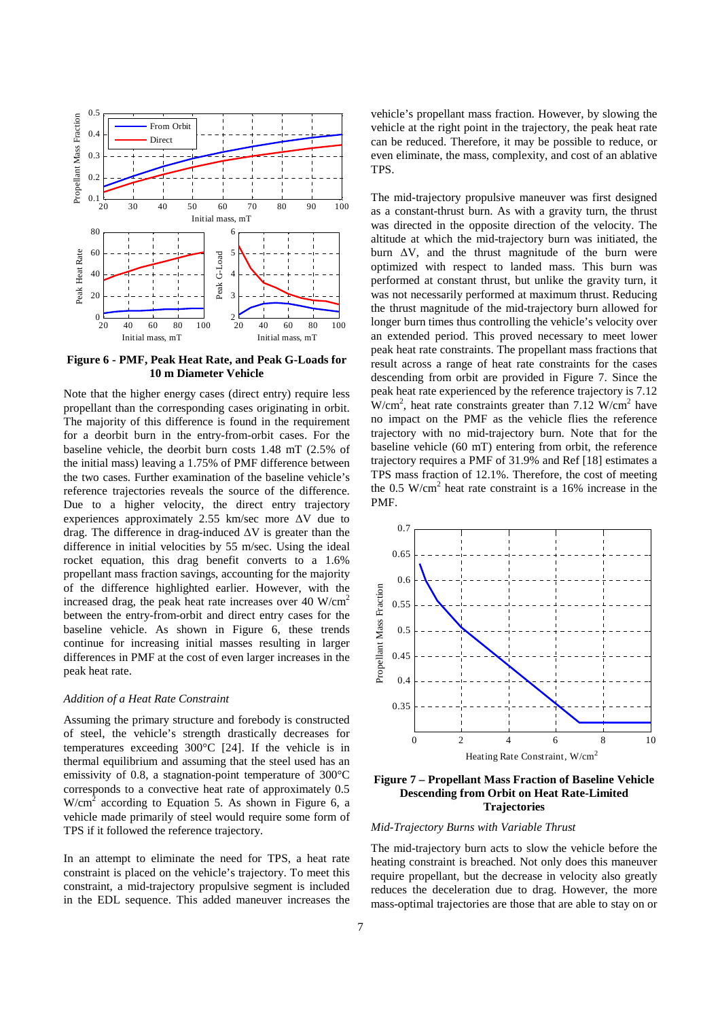![](_page_6_Figure_0.jpeg)

**Figure 6 - PMF, Peak Heat Rate, and Peak G-Loads for 10 m Diameter Vehicle** 

Note that the higher energy cases (direct entry) require less propellant than the corresponding cases originating in orbit. The majority of this difference is found in the requirement for a deorbit burn in the entry-from-orbit cases. For the baseline vehicle, the deorbit burn costs 1.48 mT (2.5% of the initial mass) leaving a 1.75% of PMF difference between the two cases. Further examination of the baseline vehicle's reference trajectories reveals the source of the difference. Due to a higher velocity, the direct entry trajectory experiences approximately 2.55 km/sec more ∆V due to drag. The difference in drag-induced ∆V is greater than the difference in initial velocities by 55 m/sec. Using the ideal rocket equation, this drag benefit converts to a 1.6% propellant mass fraction savings, accounting for the majority of the difference highlighted earlier. However, with the increased drag, the peak heat rate increases over 40 W/cm<sup>2</sup> between the entry-from-orbit and direct entry cases for the baseline vehicle. As shown in Figure 6, these trends continue for increasing initial masses resulting in larger differences in PMF at the cost of even larger increases in the peak heat rate.

## *Addition of a Heat Rate Constraint*

Assuming the primary structure and forebody is constructed of steel, the vehicle's strength drastically decreases for temperatures exceeding 300°C [24]. If the vehicle is in thermal equilibrium and assuming that the steel used has an emissivity of 0.8, a stagnation-point temperature of 300°C corresponds to a convective heat rate of approximately 0.5  $W/cm<sup>2</sup>$  according to Equation 5. As shown in Figure 6, a vehicle made primarily of steel would require some form of TPS if it followed the reference trajectory.

In an attempt to eliminate the need for TPS, a heat rate constraint is placed on the vehicle's trajectory. To meet this constraint, a mid-trajectory propulsive segment is included in the EDL sequence. This added maneuver increases the vehicle's propellant mass fraction. However, by slowing the vehicle at the right point in the trajectory, the peak heat rate can be reduced. Therefore, it may be possible to reduce, or even eliminate, the mass, complexity, and cost of an ablative TPS.

The mid-trajectory propulsive maneuver was first designed as a constant-thrust burn. As with a gravity turn, the thrust was directed in the opposite direction of the velocity. The altitude at which the mid-trajectory burn was initiated, the burn ∆V, and the thrust magnitude of the burn were optimized with respect to landed mass. This burn was performed at constant thrust, but unlike the gravity turn, it was not necessarily performed at maximum thrust. Reducing the thrust magnitude of the mid-trajectory burn allowed for longer burn times thus controlling the vehicle's velocity over an extended period. This proved necessary to meet lower peak heat rate constraints. The propellant mass fractions that result across a range of heat rate constraints for the cases descending from orbit are provided in Figure 7. Since the peak heat rate experienced by the reference trajectory is 7.12  $W/cm<sup>2</sup>$ , heat rate constraints greater than 7.12 W/cm<sup>2</sup> have no impact on the PMF as the vehicle flies the reference trajectory with no mid-trajectory burn. Note that for the baseline vehicle (60 mT) entering from orbit, the reference trajectory requires a PMF of 31.9% and Ref [18] estimates a TPS mass fraction of 12.1%. Therefore, the cost of meeting the 0.5  $W/cm<sup>2</sup>$  heat rate constraint is a 16% increase in the PMF.

![](_page_6_Figure_8.jpeg)

**Figure 7 – Propellant Mass Fraction of Baseline Vehicle Descending from Orbit on Heat Rate-Limited Trajectories** 

#### *Mid-Trajectory Burns with Variable Thrust*

The mid-trajectory burn acts to slow the vehicle before the heating constraint is breached. Not only does this maneuver require propellant, but the decrease in velocity also greatly reduces the deceleration due to drag. However, the more mass-optimal trajectories are those that are able to stay on or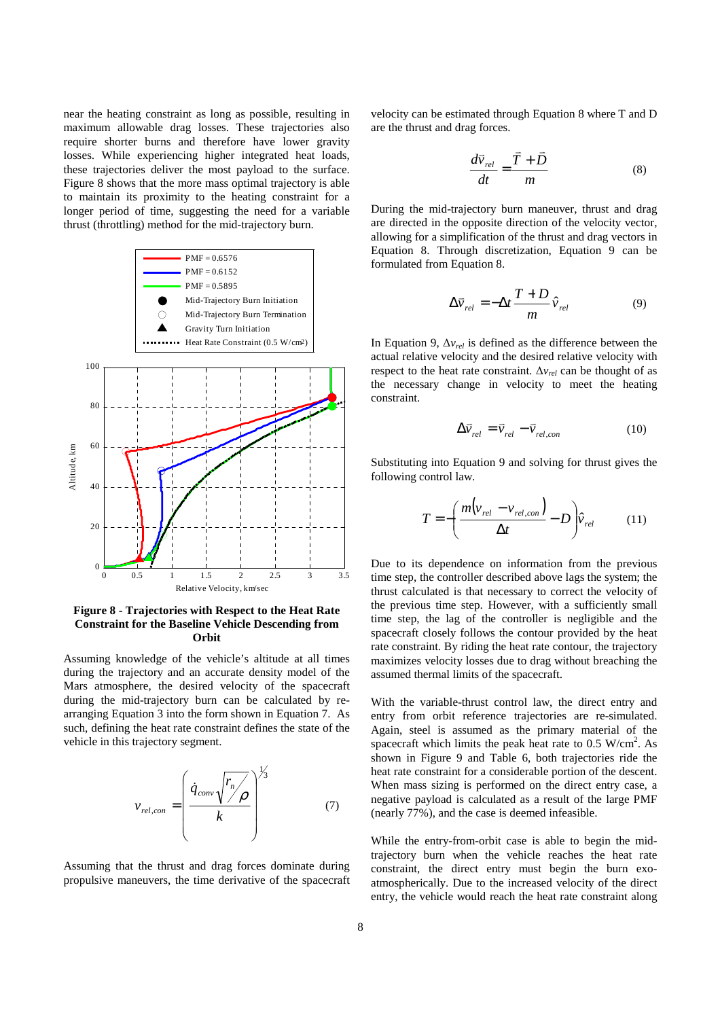near the heating constraint as long as possible, resulting in maximum allowable drag losses. These trajectories also require shorter burns and therefore have lower gravity losses. While experiencing higher integrated heat loads, these trajectories deliver the most payload to the surface. Figure 8 shows that the more mass optimal trajectory is able to maintain its proximity to the heating constraint for a longer period of time, suggesting the need for a variable thrust (throttling) method for the mid-trajectory burn.

![](_page_7_Figure_1.jpeg)

## **Figure 8 - Trajectories with Respect to the Heat Rate Constraint for the Baseline Vehicle Descending from Orbit**

Assuming knowledge of the vehicle's altitude at all times during the trajectory and an accurate density model of the Mars atmosphere, the desired velocity of the spacecraft during the mid-trajectory burn can be calculated by rearranging Equation 3 into the form shown in Equation 7. As such, defining the heat rate constraint defines the state of the vehicle in this trajectory segment.

$$
v_{rel,con} = \left(\frac{\dot{q}_{conv} \sqrt{\frac{r_n}{\rho}}}{k}\right)^{\frac{1}{3}}
$$
(7)

Assuming that the thrust and drag forces dominate during propulsive maneuvers, the time derivative of the spacecraft

velocity can be estimated through Equation 8 where T and D are the thrust and drag forces.

$$
\frac{d\vec{v}_{rel}}{dt} = \frac{\vec{T} + \vec{D}}{m}
$$
 (8)

During the mid-trajectory burn maneuver, thrust and drag are directed in the opposite direction of the velocity vector, allowing for a simplification of the thrust and drag vectors in Equation 8. Through discretization, Equation 9 can be formulated from Equation 8.

$$
\Delta \vec{v}_{rel} = -\Delta t \frac{T+D}{m} \hat{v}_{rel}
$$
 (9)

In Equation 9, ∆*vrel* is defined as the difference between the actual relative velocity and the desired relative velocity with respect to the heat rate constraint. ∆*vrel* can be thought of as the necessary change in velocity to meet the heating constraint.

$$
\Delta \vec{v}_{rel} = \vec{v}_{rel} - \vec{v}_{rel,con}
$$
 (10)

Substituting into Equation 9 and solving for thrust gives the following control law.

$$
T = -\left(\frac{m(v_{rel} - v_{rel,con})}{\Delta t} - D\right)\hat{v}_{rel}
$$
 (11)

Due to its dependence on information from the previous time step, the controller described above lags the system; the thrust calculated is that necessary to correct the velocity of the previous time step. However, with a sufficiently small time step, the lag of the controller is negligible and the spacecraft closely follows the contour provided by the heat rate constraint. By riding the heat rate contour, the trajectory maximizes velocity losses due to drag without breaching the assumed thermal limits of the spacecraft.

With the variable-thrust control law, the direct entry and entry from orbit reference trajectories are re-simulated. Again, steel is assumed as the primary material of the spacecraft which limits the peak heat rate to  $0.5 \text{ W/cm}^2$ . As shown in Figure 9 and Table 6, both trajectories ride the heat rate constraint for a considerable portion of the descent. When mass sizing is performed on the direct entry case, a negative payload is calculated as a result of the large PMF (nearly 77%), and the case is deemed infeasible.

While the entry-from-orbit case is able to begin the midtrajectory burn when the vehicle reaches the heat rate constraint, the direct entry must begin the burn exoatmospherically. Due to the increased velocity of the direct entry, the vehicle would reach the heat rate constraint along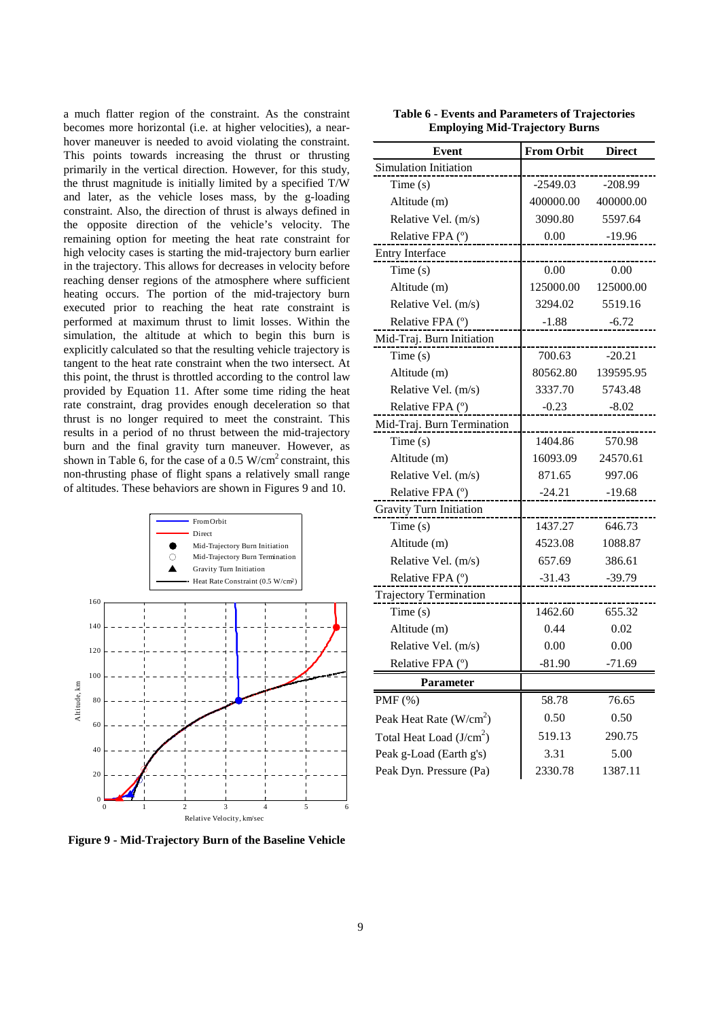a much flatter region of the constraint. As the constraint becomes more horizontal (i.e. at higher velocities), a nearhover maneuver is needed to avoid violating the constraint. This points towards increasing the thrust or thrusting primarily in the vertical direction. However, for this study, the thrust magnitude is initially limited by a specified T/W and later, as the vehicle loses mass, by the g-loading constraint. Also, the direction of thrust is always defined in the opposite direction of the vehicle's velocity. The remaining option for meeting the heat rate constraint for high velocity cases is starting the mid-trajectory burn earlier in the trajectory. This allows for decreases in velocity before reaching denser regions of the atmosphere where sufficient heating occurs. The portion of the mid-trajectory burn executed prior to reaching the heat rate constraint is performed at maximum thrust to limit losses. Within the simulation, the altitude at which to begin this burn is explicitly calculated so that the resulting vehicle trajectory is tangent to the heat rate constraint when the two intersect. At this point, the thrust is throttled according to the control law provided by Equation 11. After some time riding the heat rate constraint, drag provides enough deceleration so that thrust is no longer required to meet the constraint. This results in a period of no thrust between the mid-trajectory burn and the final gravity turn maneuver. However, as shown in Table 6, for the case of a  $0.5 \text{ W/cm}^2$  constraint, this non-thrusting phase of flight spans a relatively small range of altitudes. These behaviors are shown in Figures 9 and 10.

![](_page_8_Figure_1.jpeg)

**Figure 9 - Mid-Trajectory Burn of the Baseline Vehicle** 

| <b>Event</b>                  | <b>From Orbit</b> | <b>Direct</b> |
|-------------------------------|-------------------|---------------|
| <b>Simulation Initiation</b>  |                   |               |
| Time $(s)$                    | -2549.03          | $-208.99$     |
| Altitude (m)                  | 400000.00         | 400000.00     |
| Relative Vel. (m/s)           | 3090.80           | 5597.64       |
| Relative FPA (°)              | 0.00              | $-19.96$      |
| Entry Interface               |                   |               |
| Time $(s)$                    | 0.00              | 0.00          |
| Altitude (m)                  | 125000.00         | 125000.00     |
| Relative Vel. (m/s)           | 3294.02           | 5519.16       |
| Relative FPA (°)              | $-1.88$           | $-6.72$       |
| Mid-Traj. Burn Initiation     |                   |               |
| Time(s)                       | 700.63            | $-20.21$      |
| Altitude (m)                  | 80562.80          | 139595.95     |
| Relative Vel. (m/s)           | 3337.70           | 5743.48       |
| Relative FPA (°)              | $-0.23$           | $-8.02$       |
| Mid-Traj. Burn Termination    |                   |               |
| Time(s)                       | 1404.86           | 570.98        |
| Altitude (m)                  | 16093.09          | 24570.61      |
| Relative Vel. (m/s)           | 871.65            | 997.06        |
| Relative FPA (°)              | $-24.21$          | $-19.68$      |
| Gravity Turn Initiation       |                   |               |
| Time(s)                       | 1437.27           | 646.73        |
| Altitude (m)                  | 4523.08           | 1088.87       |
| Relative Vel. (m/s)           | 657.69            | 386.61        |
| Relative FPA (°)              | $-31.43$          | $-39.79$      |
| <b>Trajectory Termination</b> |                   |               |
| Time(s)                       | 1462.60           | 655.32        |
| Altitude (m)                  | 0.44              | 0.02          |
| Relative Vel. (m/s)           | 0.00              | 0.00          |
| Relative FPA (°)              | $-81.90$          | -71.69        |
| <b>Parameter</b>              |                   |               |
| $PMF$ (%)                     | 58.78             | 76.65         |
| Peak Heat Rate $(W/cm2)$      | 0.50              | 0.50          |
| Total Heat Load $(J/cm2)$     | 519.13            | 290.75        |
| Peak g-Load (Earth g's)       | 3.31              | 5.00          |
| Peak Dyn. Pressure (Pa)       | 2330.78           | 1387.11       |
|                               |                   |               |

**Table 6 - Events and Parameters of Trajectories Employing Mid-Trajectory Burns**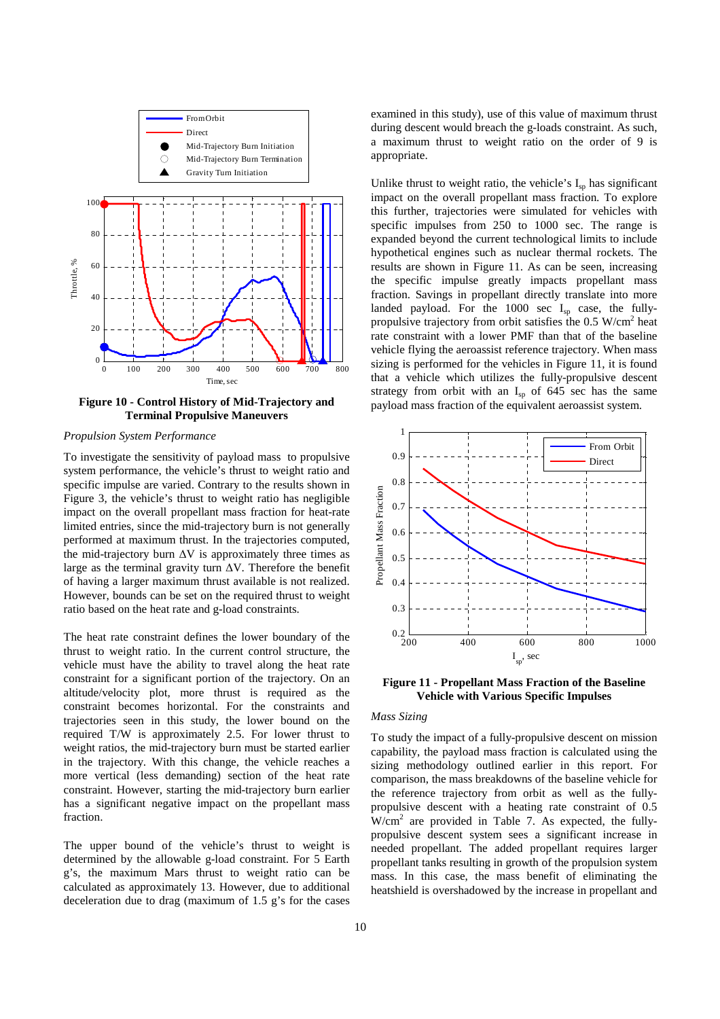![](_page_9_Figure_0.jpeg)

**Figure 10 - Control History of Mid-Trajectory and Terminal Propulsive Maneuvers** 

## *Propulsion System Performance*

To investigate the sensitivity of payload mass to propulsive system performance, the vehicle's thrust to weight ratio and specific impulse are varied. Contrary to the results shown in Figure 3, the vehicle's thrust to weight ratio has negligible impact on the overall propellant mass fraction for heat-rate limited entries, since the mid-trajectory burn is not generally performed at maximum thrust. In the trajectories computed, the mid-trajectory burn  $\Delta V$  is approximately three times as large as the terminal gravity turn ∆V. Therefore the benefit of having a larger maximum thrust available is not realized. However, bounds can be set on the required thrust to weight ratio based on the heat rate and g-load constraints.

The heat rate constraint defines the lower boundary of the thrust to weight ratio. In the current control structure, the vehicle must have the ability to travel along the heat rate constraint for a significant portion of the trajectory. On an altitude/velocity plot, more thrust is required as the constraint becomes horizontal. For the constraints and trajectories seen in this study, the lower bound on the required T/W is approximately 2.5. For lower thrust to weight ratios, the mid-trajectory burn must be started earlier in the trajectory. With this change, the vehicle reaches a more vertical (less demanding) section of the heat rate constraint. However, starting the mid-trajectory burn earlier has a significant negative impact on the propellant mass fraction.

The upper bound of the vehicle's thrust to weight is determined by the allowable g-load constraint. For 5 Earth g's, the maximum Mars thrust to weight ratio can be calculated as approximately 13. However, due to additional deceleration due to drag (maximum of 1.5 g's for the cases examined in this study), use of this value of maximum thrust during descent would breach the g-loads constraint. As such, a maximum thrust to weight ratio on the order of 9 is appropriate.

Unlike thrust to weight ratio, the vehicle's  $I_{sp}$  has significant impact on the overall propellant mass fraction. To explore this further, trajectories were simulated for vehicles with specific impulses from 250 to 1000 sec. The range is expanded beyond the current technological limits to include hypothetical engines such as nuclear thermal rockets. The results are shown in Figure 11. As can be seen, increasing the specific impulse greatly impacts propellant mass fraction. Savings in propellant directly translate into more landed payload. For the  $1000$  sec  $I_{sp}$  case, the fullypropulsive trajectory from orbit satisfies the  $0.5 \text{ W/cm}^2$  heat rate constraint with a lower PMF than that of the baseline vehicle flying the aeroassist reference trajectory. When mass sizing is performed for the vehicles in Figure 11, it is found that a vehicle which utilizes the fully-propulsive descent strategy from orbit with an  $I_{sp}$  of 645 sec has the same payload mass fraction of the equivalent aeroassist system.

![](_page_9_Figure_8.jpeg)

**Figure 11 - Propellant Mass Fraction of the Baseline Vehicle with Various Specific Impulses** 

#### *Mass Sizing*

To study the impact of a fully-propulsive descent on mission capability, the payload mass fraction is calculated using the sizing methodology outlined earlier in this report. For comparison, the mass breakdowns of the baseline vehicle for the reference trajectory from orbit as well as the fullypropulsive descent with a heating rate constraint of 0.5  $W/cm<sup>2</sup>$  are provided in Table 7. As expected, the fullypropulsive descent system sees a significant increase in needed propellant. The added propellant requires larger propellant tanks resulting in growth of the propulsion system mass. In this case, the mass benefit of eliminating the heatshield is overshadowed by the increase in propellant and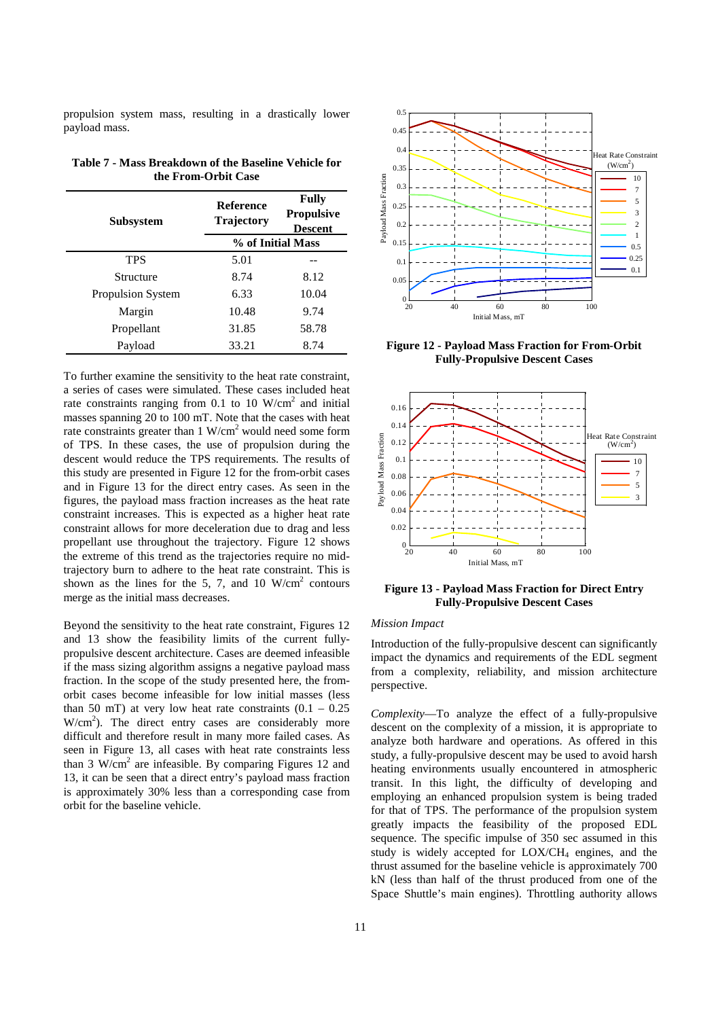propulsion system mass, resulting in a drastically lower payload mass.

| Subsystem                | <b>Reference</b><br><b>Trajectory</b> | <b>Fully</b><br><b>Propulsive</b><br><b>Descent</b> |  |
|--------------------------|---------------------------------------|-----------------------------------------------------|--|
|                          | % of Initial Mass                     |                                                     |  |
| <b>TPS</b>               | 5.01                                  |                                                     |  |
| Structure                | 8.74                                  | 8.12                                                |  |
| <b>Propulsion System</b> | 6.33                                  | 10.04                                               |  |
| Margin                   | 10.48                                 | 9.74                                                |  |
| Propellant               | 31.85                                 | 58.78                                               |  |
| Payload                  | 33.21                                 | 8.74                                                |  |

**Table 7 - Mass Breakdown of the Baseline Vehicle for the From-Orbit Case** 

To further examine the sensitivity to the heat rate constraint, a series of cases were simulated. These cases included heat rate constraints ranging from 0.1 to 10  $W/cm<sup>2</sup>$  and initial masses spanning 20 to 100 mT. Note that the cases with heat rate constraints greater than  $1 \text{ W/cm}^2$  would need some form of TPS. In these cases, the use of propulsion during the descent would reduce the TPS requirements. The results of this study are presented in Figure 12 for the from-orbit cases and in Figure 13 for the direct entry cases. As seen in the figures, the payload mass fraction increases as the heat rate constraint increases. This is expected as a higher heat rate constraint allows for more deceleration due to drag and less propellant use throughout the trajectory. Figure 12 shows the extreme of this trend as the trajectories require no midtrajectory burn to adhere to the heat rate constraint. This is shown as the lines for the 5, 7, and 10  $W/cm<sup>2</sup>$  contours merge as the initial mass decreases.

Beyond the sensitivity to the heat rate constraint, Figures 12 and 13 show the feasibility limits of the current fullypropulsive descent architecture. Cases are deemed infeasible if the mass sizing algorithm assigns a negative payload mass fraction. In the scope of the study presented here, the fromorbit cases become infeasible for low initial masses (less than 50 mT) at very low heat rate constraints  $(0.1 - 0.25)$  $W/cm<sup>2</sup>$ ). The direct entry cases are considerably more difficult and therefore result in many more failed cases. As seen in Figure 13, all cases with heat rate constraints less than 3  $W/cm<sup>2</sup>$  are infeasible. By comparing Figures 12 and 13, it can be seen that a direct entry's payload mass fraction is approximately 30% less than a corresponding case from orbit for the baseline vehicle.

![](_page_10_Figure_5.jpeg)

**Figure 12 - Payload Mass Fraction for From-Orbit Fully-Propulsive Descent Cases** 

![](_page_10_Figure_7.jpeg)

**Figure 13 - Payload Mass Fraction for Direct Entry Fully-Propulsive Descent Cases** 

## *Mission Impact*

Introduction of the fully-propulsive descent can significantly impact the dynamics and requirements of the EDL segment from a complexity, reliability, and mission architecture perspective.

*Complexity*—To analyze the effect of a fully-propulsive descent on the complexity of a mission, it is appropriate to analyze both hardware and operations. As offered in this study, a fully-propulsive descent may be used to avoid harsh heating environments usually encountered in atmospheric transit. In this light, the difficulty of developing and employing an enhanced propulsion system is being traded for that of TPS. The performance of the propulsion system greatly impacts the feasibility of the proposed EDL sequence. The specific impulse of 350 sec assumed in this study is widely accepted for  $LOX/CH<sub>4</sub>$  engines, and the thrust assumed for the baseline vehicle is approximately 700 kN (less than half of the thrust produced from one of the Space Shuttle's main engines). Throttling authority allows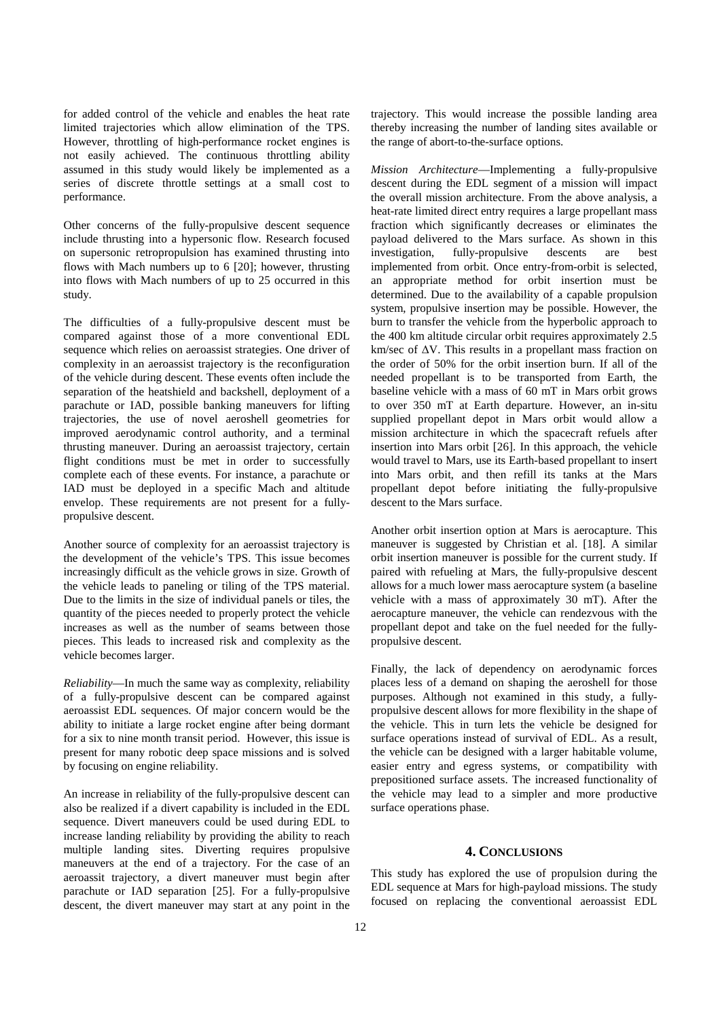for added control of the vehicle and enables the heat rate limited trajectories which allow elimination of the TPS. However, throttling of high-performance rocket engines is not easily achieved. The continuous throttling ability assumed in this study would likely be implemented as a series of discrete throttle settings at a small cost to performance.

Other concerns of the fully-propulsive descent sequence include thrusting into a hypersonic flow. Research focused on supersonic retropropulsion has examined thrusting into flows with Mach numbers up to 6 [20]; however, thrusting into flows with Mach numbers of up to 25 occurred in this study.

The difficulties of a fully-propulsive descent must be compared against those of a more conventional EDL sequence which relies on aeroassist strategies. One driver of complexity in an aeroassist trajectory is the reconfiguration of the vehicle during descent. These events often include the separation of the heatshield and backshell, deployment of a parachute or IAD, possible banking maneuvers for lifting trajectories, the use of novel aeroshell geometries for improved aerodynamic control authority, and a terminal thrusting maneuver. During an aeroassist trajectory, certain flight conditions must be met in order to successfully complete each of these events. For instance, a parachute or IAD must be deployed in a specific Mach and altitude envelop. These requirements are not present for a fullypropulsive descent.

Another source of complexity for an aeroassist trajectory is the development of the vehicle's TPS. This issue becomes increasingly difficult as the vehicle grows in size. Growth of the vehicle leads to paneling or tiling of the TPS material. Due to the limits in the size of individual panels or tiles, the quantity of the pieces needed to properly protect the vehicle increases as well as the number of seams between those pieces. This leads to increased risk and complexity as the vehicle becomes larger.

*Reliability*—In much the same way as complexity, reliability of a fully-propulsive descent can be compared against aeroassist EDL sequences. Of major concern would be the ability to initiate a large rocket engine after being dormant for a six to nine month transit period. However, this issue is present for many robotic deep space missions and is solved by focusing on engine reliability.

An increase in reliability of the fully-propulsive descent can also be realized if a divert capability is included in the EDL sequence. Divert maneuvers could be used during EDL to increase landing reliability by providing the ability to reach multiple landing sites. Diverting requires propulsive maneuvers at the end of a trajectory. For the case of an aeroassit trajectory, a divert maneuver must begin after parachute or IAD separation [25]. For a fully-propulsive descent, the divert maneuver may start at any point in the

trajectory. This would increase the possible landing area thereby increasing the number of landing sites available or the range of abort-to-the-surface options.

*Mission Architecture*—Implementing a fully-propulsive descent during the EDL segment of a mission will impact the overall mission architecture. From the above analysis, a heat-rate limited direct entry requires a large propellant mass fraction which significantly decreases or eliminates the payload delivered to the Mars surface. As shown in this investigation, fully-propulsive descents are best implemented from orbit. Once entry-from-orbit is selected, an appropriate method for orbit insertion must be determined. Due to the availability of a capable propulsion system, propulsive insertion may be possible. However, the burn to transfer the vehicle from the hyperbolic approach to the 400 km altitude circular orbit requires approximately 2.5 km/sec of ∆V. This results in a propellant mass fraction on the order of 50% for the orbit insertion burn. If all of the needed propellant is to be transported from Earth, the baseline vehicle with a mass of 60 mT in Mars orbit grows to over 350 mT at Earth departure. However, an in-situ supplied propellant depot in Mars orbit would allow a mission architecture in which the spacecraft refuels after insertion into Mars orbit [26]. In this approach, the vehicle would travel to Mars, use its Earth-based propellant to insert into Mars orbit, and then refill its tanks at the Mars propellant depot before initiating the fully-propulsive descent to the Mars surface.

Another orbit insertion option at Mars is aerocapture. This maneuver is suggested by Christian et al. [18]. A similar orbit insertion maneuver is possible for the current study. If paired with refueling at Mars, the fully-propulsive descent allows for a much lower mass aerocapture system (a baseline vehicle with a mass of approximately 30 mT). After the aerocapture maneuver, the vehicle can rendezvous with the propellant depot and take on the fuel needed for the fullypropulsive descent.

Finally, the lack of dependency on aerodynamic forces places less of a demand on shaping the aeroshell for those purposes. Although not examined in this study, a fullypropulsive descent allows for more flexibility in the shape of the vehicle. This in turn lets the vehicle be designed for surface operations instead of survival of EDL. As a result, the vehicle can be designed with a larger habitable volume, easier entry and egress systems, or compatibility with prepositioned surface assets. The increased functionality of the vehicle may lead to a simpler and more productive surface operations phase.

## **4. CONCLUSIONS**

This study has explored the use of propulsion during the EDL sequence at Mars for high-payload missions. The study focused on replacing the conventional aeroassist EDL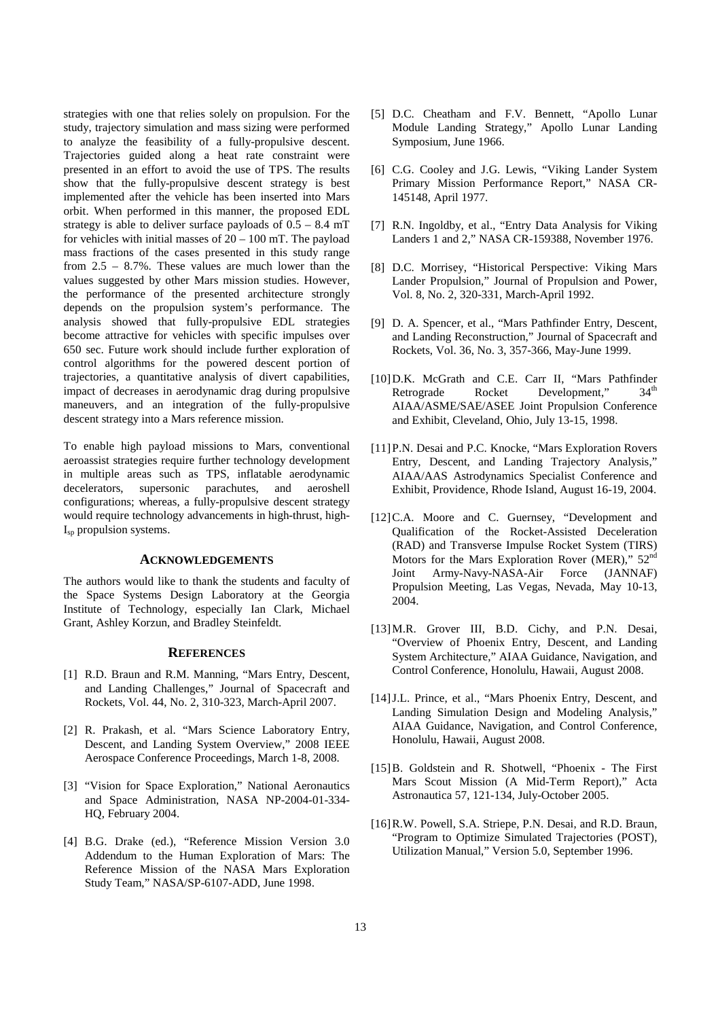strategies with one that relies solely on propulsion. For the study, trajectory simulation and mass sizing were performed to analyze the feasibility of a fully-propulsive descent. Trajectories guided along a heat rate constraint were presented in an effort to avoid the use of TPS. The results show that the fully-propulsive descent strategy is best implemented after the vehicle has been inserted into Mars orbit. When performed in this manner, the proposed EDL strategy is able to deliver surface payloads of  $0.5 - 8.4$  mT for vehicles with initial masses of  $20 - 100$  mT. The payload mass fractions of the cases presented in this study range from 2.5 – 8.7%. These values are much lower than the values suggested by other Mars mission studies. However, the performance of the presented architecture strongly depends on the propulsion system's performance. The analysis showed that fully-propulsive EDL strategies become attractive for vehicles with specific impulses over 650 sec. Future work should include further exploration of control algorithms for the powered descent portion of trajectories, a quantitative analysis of divert capabilities, impact of decreases in aerodynamic drag during propulsive maneuvers, and an integration of the fully-propulsive descent strategy into a Mars reference mission.

To enable high payload missions to Mars, conventional aeroassist strategies require further technology development in multiple areas such as TPS, inflatable aerodynamic decelerators, supersonic parachutes, and aeroshell configurations; whereas, a fully-propulsive descent strategy would require technology advancements in high-thrust, high- $I_{\rm{sp}}$  propulsion systems.

#### **ACKNOWLEDGEMENTS**

The authors would like to thank the students and faculty of the Space Systems Design Laboratory at the Georgia Institute of Technology, especially Ian Clark, Michael Grant, Ashley Korzun, and Bradley Steinfeldt.

## **REFERENCES**

- [1] R.D. Braun and R.M. Manning, "Mars Entry, Descent, and Landing Challenges," Journal of Spacecraft and Rockets, Vol. 44, No. 2, 310-323, March-April 2007.
- [2] R. Prakash, et al. "Mars Science Laboratory Entry, Descent, and Landing System Overview," 2008 IEEE Aerospace Conference Proceedings, March 1-8, 2008.
- [3] "Vision for Space Exploration," National Aeronautics and Space Administration, NASA NP-2004-01-334- HQ, February 2004.
- [4] B.G. Drake (ed.), "Reference Mission Version 3.0 Addendum to the Human Exploration of Mars: The Reference Mission of the NASA Mars Exploration Study Team," NASA/SP-6107-ADD, June 1998.
- [5] D.C. Cheatham and F.V. Bennett, "Apollo Lunar Module Landing Strategy," Apollo Lunar Landing Symposium, June 1966.
- [6] C.G. Cooley and J.G. Lewis, "Viking Lander System Primary Mission Performance Report," NASA CR-145148, April 1977.
- [7] R.N. Ingoldby, et al., "Entry Data Analysis for Viking Landers 1 and 2," NASA CR-159388, November 1976.
- [8] D.C. Morrisey, "Historical Perspective: Viking Mars Lander Propulsion," Journal of Propulsion and Power, Vol. 8, No. 2, 320-331, March-April 1992.
- [9] D. A. Spencer, et al., "Mars Pathfinder Entry, Descent, and Landing Reconstruction," Journal of Spacecraft and Rockets, Vol. 36, No. 3, 357-366, May-June 1999.
- [10] D.K. McGrath and C.E. Carr II, "Mars Pathfinder<br>Retrograde Rocket Development."  $34^{\text{th}}$ Retrograde Rocket Development," AIAA/ASME/SAE/ASEE Joint Propulsion Conference and Exhibit, Cleveland, Ohio, July 13-15, 1998.
- [11]P.N. Desai and P.C. Knocke, "Mars Exploration Rovers Entry, Descent, and Landing Trajectory Analysis," AIAA/AAS Astrodynamics Specialist Conference and Exhibit, Providence, Rhode Island, August 16-19, 2004.
- [12]C.A. Moore and C. Guernsey, "Development and Qualification of the Rocket-Assisted Deceleration (RAD) and Transverse Impulse Rocket System (TIRS) Motors for the Mars Exploration Rover (MER)," 52<sup>nd</sup> Joint Army-Navy-NASA-Air Force (JANNAF) Propulsion Meeting, Las Vegas, Nevada, May 10-13, 2004.
- [13] M.R. Grover III, B.D. Cichy, and P.N. Desai, "Overview of Phoenix Entry, Descent, and Landing System Architecture," AIAA Guidance, Navigation, and Control Conference, Honolulu, Hawaii, August 2008.
- [14]J.L. Prince, et al., "Mars Phoenix Entry, Descent, and Landing Simulation Design and Modeling Analysis," AIAA Guidance, Navigation, and Control Conference, Honolulu, Hawaii, August 2008.
- [15]B. Goldstein and R. Shotwell, "Phoenix The First Mars Scout Mission (A Mid-Term Report)," Acta Astronautica 57, 121-134, July-October 2005.
- [16]R.W. Powell, S.A. Striepe, P.N. Desai, and R.D. Braun, "Program to Optimize Simulated Trajectories (POST), Utilization Manual," Version 5.0, September 1996.